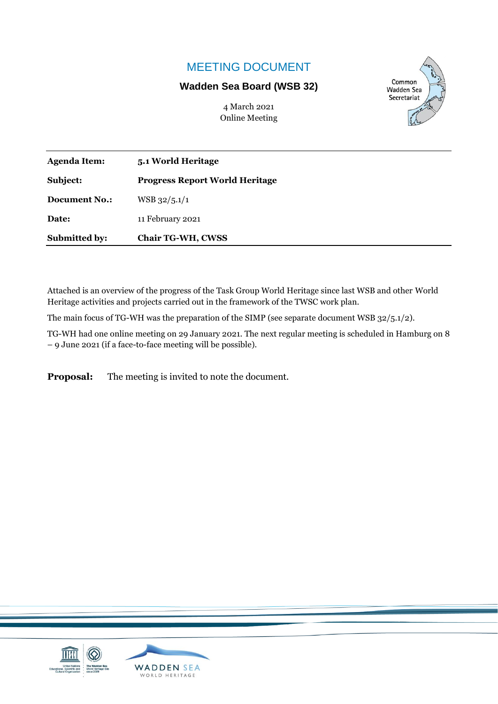## MEETING DOCUMENT

#### **Wadden Sea Board (WSB 32)**

4 March 2021 Online Meeting



| <b>Submitted by:</b> | <b>Chair TG-WH, CWSS</b>              |  |
|----------------------|---------------------------------------|--|
| Date:                | 11 February 2021                      |  |
| <b>Document No.:</b> | $WSB$ 32/5.1/1                        |  |
| Subject:             | <b>Progress Report World Heritage</b> |  |
| <b>Agenda Item:</b>  | 5.1 World Heritage                    |  |

Attached is an overview of the progress of the Task Group World Heritage since last WSB and other World Heritage activities and projects carried out in the framework of the TWSC work plan.

The main focus of TG-WH was the preparation of the SIMP (see separate document WSB 32/5.1/2).

TG-WH had one online meeting on 29 January 2021. The next regular meeting is scheduled in Hamburg on 8 – 9 June 2021 (if a face-to-face meeting will be possible).

**Proposal:** The meeting is invited to note the document.

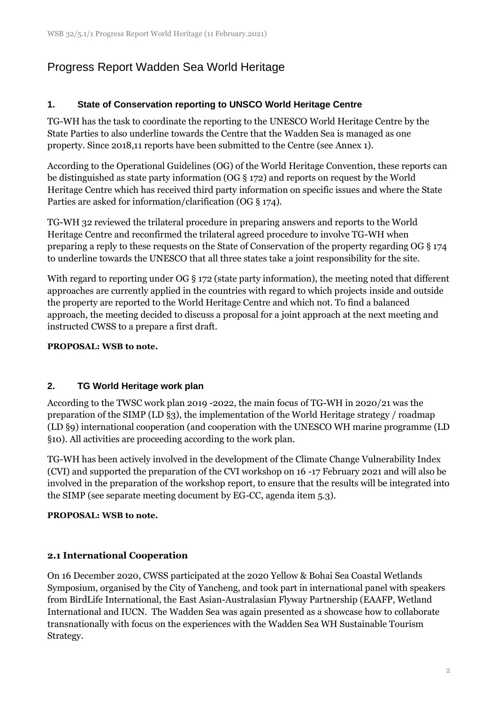# Progress Report Wadden Sea World Heritage

## **1. State of Conservation reporting to UNSCO World Heritage Centre**

TG-WH has the task to coordinate the reporting to the UNESCO World Heritage Centre by the State Parties to also underline towards the Centre that the Wadden Sea is managed as one property. Since 2018,11 reports have been submitted to the Centre (see Annex 1).

According to the Operational Guidelines (OG) of the World Heritage Convention, these reports can be distinguished as state party information (OG § 172) and reports on request by the World Heritage Centre which has received third party information on specific issues and where the State Parties are asked for information/clarification (OG § 174).

TG-WH 32 reviewed the trilateral procedure in preparing answers and reports to the World Heritage Centre and reconfirmed the trilateral agreed procedure to involve TG-WH when preparing a reply to these requests on the State of Conservation of the property regarding OG § 174 to underline towards the UNESCO that all three states take a joint responsibility for the site.

With regard to reporting under OG § 172 (state party information), the meeting noted that different approaches are currently applied in the countries with regard to which projects inside and outside the property are reported to the World Heritage Centre and which not. To find a balanced approach, the meeting decided to discuss a proposal for a joint approach at the next meeting and instructed CWSS to a prepare a first draft.

### **PROPOSAL: WSB to note.**

## **2. TG World Heritage work plan**

According to the TWSC work plan 2019 -2022, the main focus of TG-WH in 2020/21 was the preparation of the SIMP (LD §3), the implementation of the World Heritage strategy / roadmap (LD §9) international cooperation (and cooperation with the UNESCO WH marine programme (LD §10). All activities are proceeding according to the work plan.

TG-WH has been actively involved in the development of the Climate Change Vulnerability Index (CVI) and supported the preparation of the CVI workshop on 16 -17 February 2021 and will also be involved in the preparation of the workshop report, to ensure that the results will be integrated into the SIMP (see separate meeting document by EG-CC, agenda item 5.3).

## **PROPOSAL: WSB to note.**

## **2.1 International Cooperation**

On 16 December 2020, CWSS participated at the 2020 Yellow & Bohai Sea Coastal Wetlands Symposium, organised by the City of Yancheng, and took part in international panel with speakers from BirdLife International, the East Asian-Australasian Flyway Partnership (EAAFP, Wetland International and IUCN. The Wadden Sea was again presented as a showcase how to collaborate transnationally with focus on the experiences with the Wadden Sea WH Sustainable Tourism Strategy.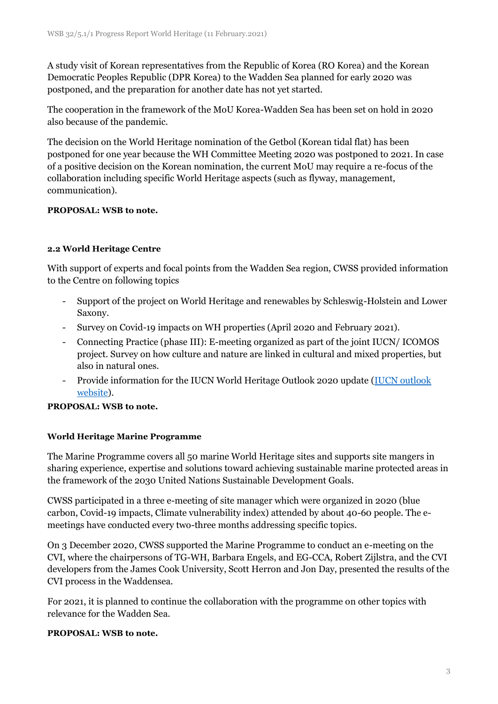A study visit of Korean representatives from the Republic of Korea (RO Korea) and the Korean Democratic Peoples Republic (DPR Korea) to the Wadden Sea planned for early 2020 was postponed, and the preparation for another date has not yet started.

The cooperation in the framework of the MoU Korea-Wadden Sea has been set on hold in 2020 also because of the pandemic.

The decision on the World Heritage nomination of the Getbol (Korean tidal flat) has been postponed for one year because the WH Committee Meeting 2020 was postponed to 2021. In case of a positive decision on the Korean nomination, the current MoU may require a re-focus of the collaboration including specific World Heritage aspects (such as flyway, management, communication).

#### **PROPOSAL: WSB to note.**

#### **2.2 World Heritage Centre**

With support of experts and focal points from the Wadden Sea region, CWSS provided information to the Centre on following topics

- Support of the project on World Heritage and renewables by Schleswig-Holstein and Lower Saxony.
- Survey on Covid-19 impacts on WH properties (April 2020 and February 2021).
- Connecting Practice (phase III): E-meeting organized as part of the joint IUCN/ ICOMOS project. Survey on how culture and nature are linked in cultural and mixed properties, but also in natural ones.
- Provide information for the IUCN World Heritage Outlook 2020 update (IUCN outlook [website\)](https://worldheritageoutlook.iucn.org/home-page).

#### **PROPOSAL: WSB to note.**

#### **World Heritage Marine Programme**

The Marine Programme covers all 50 marine World Heritage sites and supports site mangers in sharing experience, expertise and solutions toward achieving sustainable marine protected areas in the framework of the 2030 United Nations Sustainable Development Goals.

CWSS participated in a three e-meeting of site manager which were organized in 2020 (blue carbon, Covid-19 impacts, Climate vulnerability index) attended by about 40-60 people. The emeetings have conducted every two-three months addressing specific topics.

On 3 December 2020, CWSS supported the Marine Programme to conduct an e-meeting on the CVI, where the chairpersons of TG-WH, Barbara Engels, and EG-CCA, Robert Zijlstra, and the CVI developers from the James Cook University, Scott Herron and Jon Day, presented the results of the CVI process in the Waddensea.

For 2021, it is planned to continue the collaboration with the programme on other topics with relevance for the Wadden Sea.

#### **PROPOSAL: WSB to note.**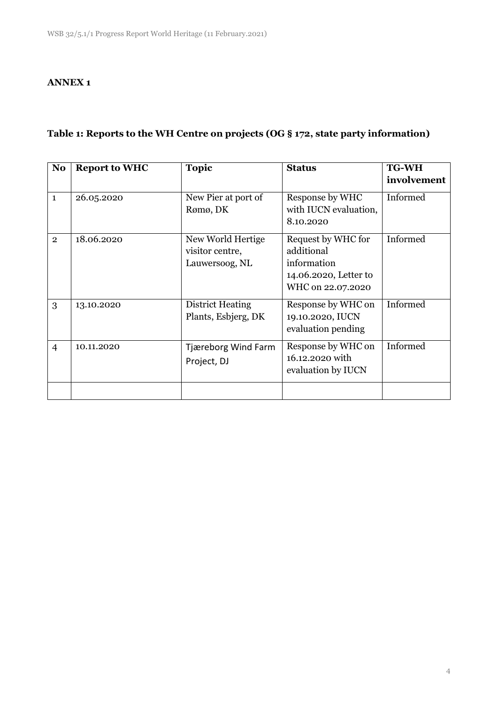#### **ANNEX 1**

## **Table 1: Reports to the WH Centre on projects (OG § 172, state party information)**

| <b>Report to WHC</b> | <b>Topic</b>                                           | <b>Status</b>                                                                                 | <b>TG-WH</b> |
|----------------------|--------------------------------------------------------|-----------------------------------------------------------------------------------------------|--------------|
|                      |                                                        |                                                                                               | involvement  |
| 26.05.2020           | New Pier at port of<br>Rømø, DK                        | Response by WHC<br>with IUCN evaluation,<br>8.10.2020                                         | Informed     |
| 18.06.2020           | New World Hertige<br>visitor centre,<br>Lauwersoog, NL | Request by WHC for<br>additional<br>information<br>14.06.2020, Letter to<br>WHC on 22.07.2020 | Informed     |
| 13.10.2020           | <b>District Heating</b><br>Plants, Esbjerg, DK         | Response by WHC on<br>19.10.2020, IUCN<br>evaluation pending                                  | Informed     |
| 10.11.2020           | Tjæreborg Wind Farm<br>Project, DJ                     | Response by WHC on<br>16.12.2020 with<br>evaluation by IUCN                                   | Informed     |
|                      |                                                        |                                                                                               |              |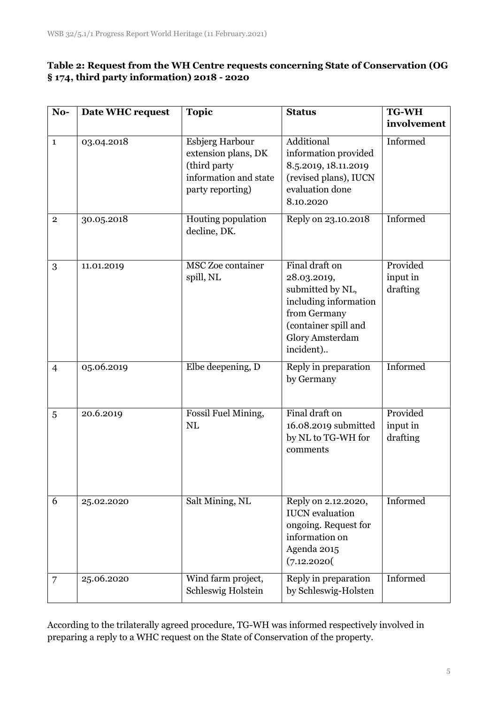## **Table 2: Request from the WH Centre requests concerning State of Conservation (OG § 174, third party information) 2018 - 2020**

| No-            | <b>Date WHC request</b> | <b>Topic</b>                                                                                               | <b>Status</b>                                                                                                                                             | <b>TG-WH</b>                     |
|----------------|-------------------------|------------------------------------------------------------------------------------------------------------|-----------------------------------------------------------------------------------------------------------------------------------------------------------|----------------------------------|
|                |                         |                                                                                                            |                                                                                                                                                           | involvement                      |
| $\mathbf{1}$   | 03.04.2018              | <b>Esbjerg Harbour</b><br>extension plans, DK<br>(third party<br>information and state<br>party reporting) | Additional<br>information provided<br>8.5.2019, 18.11.2019<br>(revised plans), IUCN<br>evaluation done<br>8.10.2020                                       | Informed                         |
| $\overline{2}$ | 30.05.2018              | Houting population<br>decline, DK.                                                                         | Reply on 23.10.2018                                                                                                                                       | Informed                         |
| 3              | 11.01.2019              | MSC Zoe container<br>spill, NL                                                                             | Final draft on<br>28.03.2019,<br>submitted by NL,<br>including information<br>from Germany<br>(container spill and<br><b>Glory Amsterdam</b><br>incident) | Provided<br>input in<br>drafting |
| $\overline{4}$ | 05.06.2019              | Elbe deepening, D                                                                                          | Reply in preparation<br>by Germany                                                                                                                        | Informed                         |
| 5              | 20.6.2019               | Fossil Fuel Mining,<br>NL                                                                                  | Final draft on<br>16.08.2019 submitted<br>by NL to TG-WH for<br>comments                                                                                  | Provided<br>input in<br>drafting |
| 6              | 25.02.2020              | Salt Mining, NL                                                                                            | Reply on 2.12.2020,<br><b>IUCN</b> evaluation<br>ongoing. Request for<br>information on<br>Agenda 2015<br>(7.12.2020)                                     | Informed                         |
| $\overline{7}$ | 25.06.2020              | Wind farm project,<br>Schleswig Holstein                                                                   | Reply in preparation<br>by Schleswig-Holsten                                                                                                              | Informed                         |

According to the trilaterally agreed procedure, TG-WH was informed respectively involved in preparing a reply to a WHC request on the State of Conservation of the property.